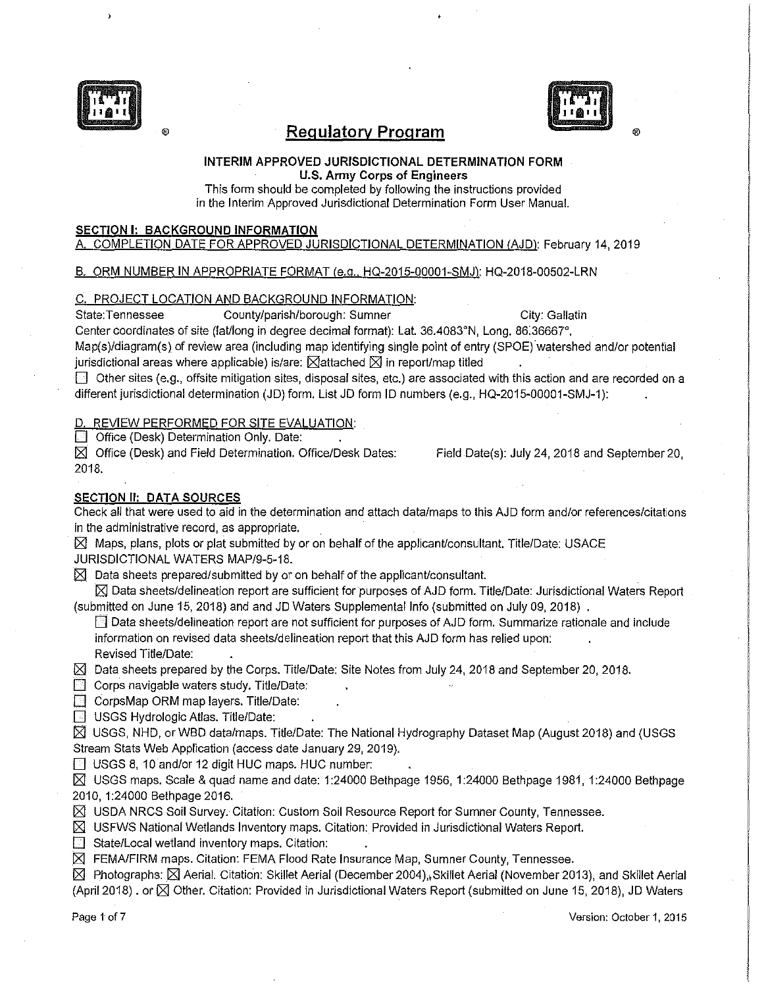



®

# ® **Regulatory Program**

#### **INTERIM APPROVED JURISDICTIONAL DETERMINATION FORM U.S. Army Corps of Engineers**

This form should be completed by following the instructions provided in the Interim Approved Jurisdictional Determination Form User Manual.

#### **SECTION I: BACKGROUND INFORMATION**

### A. COMPLETION DATE FOR APPROVED JURISDICTIONAL DETERMINATION (AJD): February 14, 2019

#### B. ORM NUMBER IN APPROPRIATE FORMAT (e.g., HQ-2015-00001-SMJ): HQ-2018-00502-LRN

### C. PROJECT LOCATION AND BACKGROUND INFORMATION:

State:Tennessee County/parish/borough: Sumner City: Gallatin

Center coordinates of site (lat/long in degree decimal format): Lat. 36.4083°N, Long. 86:36667°.

Map(s)/diagram(s) of review area (including map identifying single point of entry (SPOE) watershed and/or potential jurisdictional areas where applicable) is/are:  $\boxtimes$  attached  $\boxtimes$  in report/map titled

 $\Box$  Other sites (e.g., offsite mitigation sites, disposal sites, etc.) are associated with this action and are recorded on a different jurisdictional determination (JD) form. List JD form ID numbers (e.g., HQ-2015-00001-SMJ-1):

#### D. REVIEW PERFORMED FOR SITE EVALUATION:

**D** Office (Desk) Determination Only. Date:

 $\boxtimes$  Office (Desk) and Field Determination. Office/Desk Dates: 2018.

Field Date(s): July 24, 2018 and September 20,

### **SECTION II: DATA SOURCES**

Check all that were used to aid in the determination and attach data/maps to this AJD form and/or references/citations in the administrative record, as appropriate.

 $\boxtimes$  Maps, plans, plots or plat submitted by or on behalf of the applicant/consultant. Title/Date: USACE JURISDICTIONAL WATERS MAP/9-5-18.

 $\boxtimes$  Data sheets prepared/submitted by or on behalf of the applicant/consultant.

 $\boxtimes$  Data sheets/delineation report are sufficient for purposes of AJD form. Title/Date: Jurisdictional Waters Report (submitted on June 15, 2018) and and JD Waters Supplemental Info (submitted on July 09, 2018) .

- **E** Data sheets/delineation report are not sufficient for purposes of AJD form. Summarize rationale and include information on revised data sheets/delineation report that this AJD form has relied upon: Revised Title/Date:
- $\boxtimes$  Data sheets prepared by the Corps. Title/Date: Site Notes from July 24, 2018 and September 20, 2018.
- $\Box$  Corps navigable waters study. Title/Date:
- D CorpsMap ORM map layers. Title/Date:
- USGS Hydrologic Atlas. Title/Date:

 $\boxtimes$  USGS, NHD, or WBD data/maps. Title/Date: The National Hydrography Dataset Map (August 2018) and (USGS Stream Stats Web Application (access date January 29, 2019).

 $\Box$  USGS 8, 10 and/or 12 digit HUC maps. HUC number:

 $\boxtimes$  USGS maps. Scale & quad name and date: 1:24000 Bethpage 1956, 1:24000 Bethpage 1981, 1:24000 Bethpage 2010, 1:24000 Bethpage 2016.

 $\boxtimes$  USDA NRCS Soil Survey. Citation: Custom Soil Resource Report for Sumner County, Tennessee.

 $\boxtimes$  USFWS National Wetlands Inventory maps. Citation: Provided in Jurisdictional Waters Report.

 $\Box$  State/Local wetland inventory maps. Citation:

 $\boxtimes$  FEMA/FIRM maps. Citation: FEMA Flood Rate Insurance Map, Sumner County, Tennessee.

 $\boxtimes$  Photographs:  $\boxtimes$  Aerial. Citation: Skillet Aerial (December 2004), Skillet Aerial (November 2013), and Skillet Aerial (April 2018) . or  $\boxtimes$  Other. Citation: Provided in Jurisdictional Waters Report (submitted on June 15, 2018), JD Waters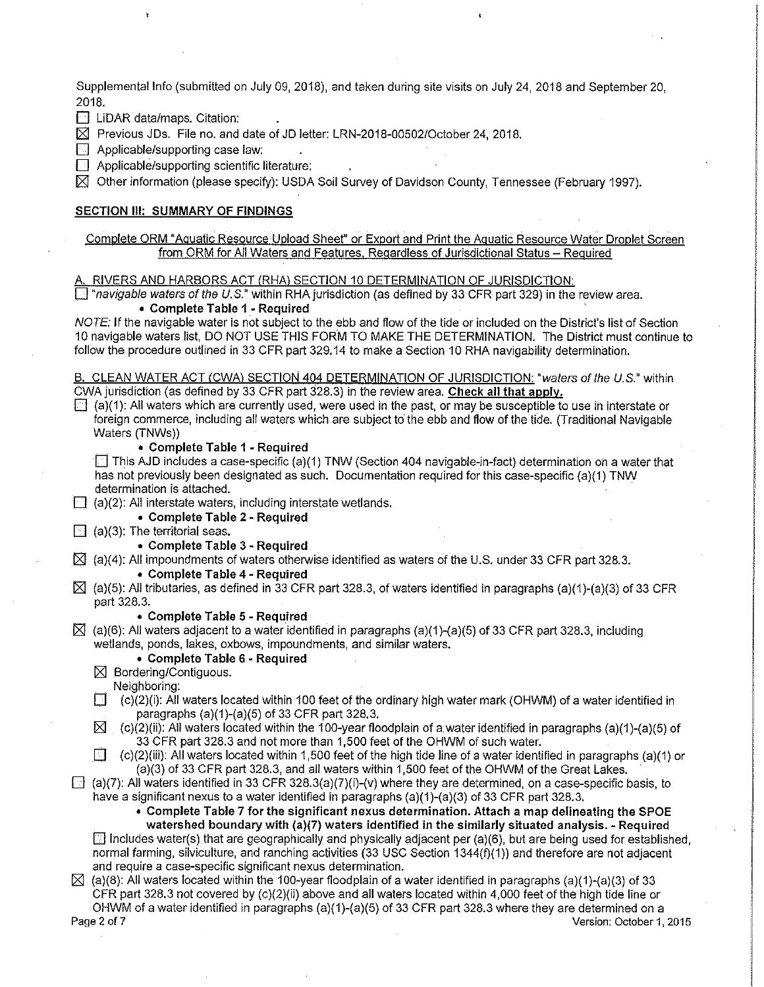Supplemental Info (submitted on July 09, 2018), and taken during site visits on July 24, 2018 and September 20, 2018.

**D** LiDAR data/maps. Citation:

 $\boxtimes$  Previous JDs. File no. and date of JD letter: LRN-2018-00502/October 24, 2018.

 $\Box$  Applicable/supporting case law:

 $\Box$  Applicable/supporting scientific literature:

 $\boxtimes$  Other information (please specify): USDA Soil Survey of Davidson County, Tennessee (February 1997).

#### **SECTION Ill: SUMMARY OF FINDINGS**

Complete ORM "Aquatic Resource Upload Sheet" or Export and Print the Aquatic Resource Water Droplet Screen from ORM for All Waters and Features, Regardless of Jurisdictional Status - Required

#### A. RIVERS AND HARBORS ACT (RHAl SECTION 10 DETERMINATION OF JURISDICTION:

 $\Box$  "navigable waters of the U.S." within RHA jurisdiction (as defined by 33 CFR part 329) in the review area.

### • **Complete Table 1 - Required**

NOTE: If the navigable water is not subject to the ebb and flow of the tide or included on the District's list of Section 10 navigable waters list, DO NOT USE THIS FORM TO MAKE THE DETERMINATION. The District must continue to follow the procedure outlined in 33 CFR part 329.14 to make a Section 10 RHA navigability determination.

B. CLEAN WATER ACT (CWA) SECTION 404 DETERMINATION OF JURISDICTION: "waters of the U.S." within CWA jurisdiction (as defined by 33 CFR part 328.3) in the review area. **Check all that apply.** 

 $\Box$  (a)(1): All waters which are currently used, were used in the past, or may be susceptible to use in interstate or foreign commerce, including all waters which are subject to the ebb and flow of the tide. (Traditional Navigable Waters (TNWs))

#### • **Complete Table 1 - Required**

D This AJD includes a case-specific (a)(1) TNW (Section 404 navigable-in-fact) determination on a water that has not previously been designated as such. Documentation required for this case-specific (a)(1) TNW determination is attached.

 $\Box$  (a)(2): All interstate waters, including interstate wetlands.

#### • **Complete Table 2 • Required**

 $\Box$  (a)(3): The territorial seas.

#### • **Complete Table 3 ·Required**

 $\boxtimes$  (a)(4): All impoundments of waters otherwise identified as waters of the U.S. under 33 CFR part 328.3.

## • **Complete Table 4 - Required**

 $\boxtimes$  (a)(5): All tributaries, as defined in 33 CFR part 328.3, of waters identified in paragraphs (a)(1)-(a)(3) of 33 CFR part 328.3.

#### • Complete Table 5 - Required

 $\boxtimes$  (a)(6): All waters adiacent to a water identified in paragraphs (a)(1)-(a)(5) of 33 CFR part 328.3, including wetlands, ponds, lakes, oxbows, impoundments, and similar waters.

### • **Complete Table 6 - Required**

 $\boxtimes$  Bordering/Contiguous.

Neighboring:

- $\Box$  (c)(2)(i): All waters located within 100 feet of the ordinary high water mark (OHWM) of a water identified in paragraphs (a)(1)-(a)(5) of 33 CFR part 328.3.
- $\boxtimes$  (c)(2)(ii): All waters located within the 100-year floodplain of a water identified in paragraphs (a)(1)-(a)(5) of 33 CFR part 328.3 and not more than 1,500 feet of the OHWM of such water.

 $\Box$  (c)(2)(iii): All waters located within 1,500 feet of the high tide line of a water identified in paragraphs (a)(1) or (a)(3) of 33 CFR part 328.3, and all waters within 1,500 feet of the OHWM of the Great Lakes.

 $\Box$  (a)(7): All waters identified in 33 CFR 328.3(a)(7)(i)-(v) where they are determined, on a case-specific basis, to have a significant nexus to a water identified in paragraphs (a)(1 )-(a)(3) of 33 CFR part 328.3.

• **Complete Table 7 for the significant nexus determination. Attach a map delineating the SPOE watershed boundary with (a)(7) waters identified in the similarly situated analysis. - Required I** Includes water(s) that are geographically and physically adjacent per (a)(6), but are being used for established, normal farming, silviculture, and ranching activities (33 USC Section 1344(f)(1)) and therefore are not adjacent and require a case-specific significant nexus determination.

 $\boxtimes$  (a)(8): All waters located within the 100-year floodplain of a water identified in paragraphs (a)(1)-(a)(3) of 33 CFR part 328.3 not covered by (c)(2)(ii) above and all waters located within 4,000 feet of the high tide line or OHWM of a water identified in paragraphs (a)(1)-(a)(5) of 33 CFR part 328.3 where they are determined on a Page 2 of 7 Version: October 1, 2015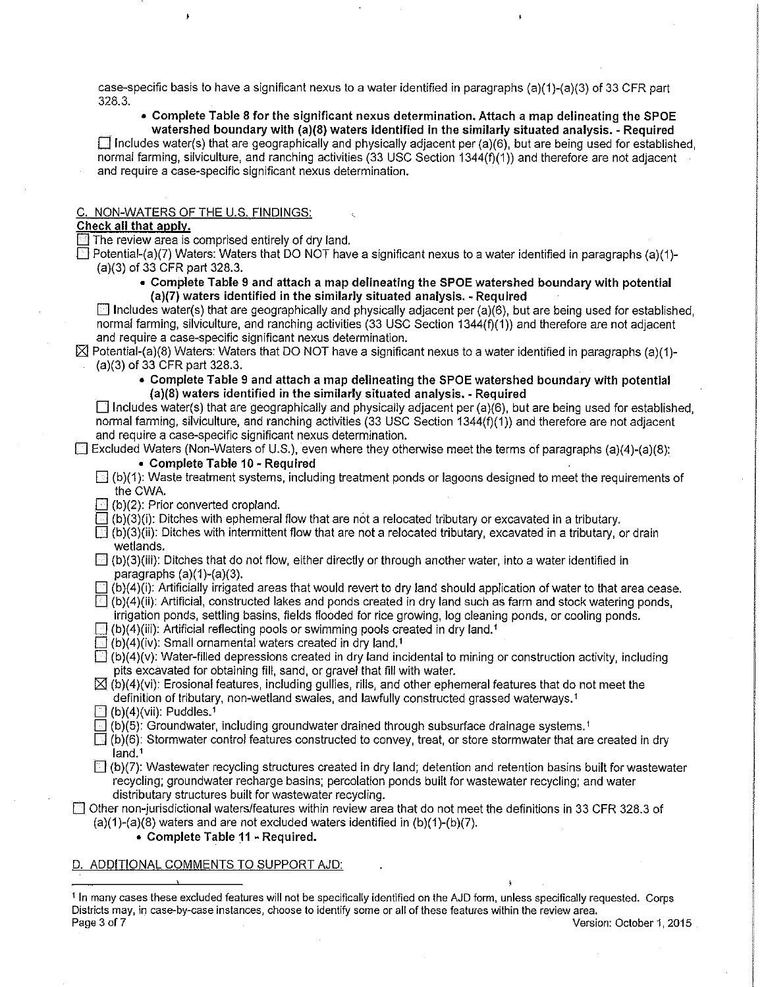case-specific basis to have a significant nexus to a water identified in paragraphs (a)(1)-(a)(3) of 33 CFR part 328.3.

• **Complete Table 8 for the significant nexus determination. Attach a map delineating the SPOE watershed boundary with (a)(8) waters identified in the similarly situated analysis. - Required** 

 $\Box$  Includes water(s) that are geographically and physically adjacent per (a)(6), but are being used for established, normal farming, silviculture, and ranching activities (33 USC Section  $1344(f)(1)$ ) and therefore are not adjacent and require a case-specific significant nexus determination.

### C. NON-WATERS OF THE U.S. FINDINGS:

## **Check all that apply.**

 $\Box$  The review area is comprised entirely of dry land.

 $\Box$  Potential-(a)(7) Waters: Waters that DO NOT have a significant nexus to a water identified in paragraphs (a)(1)-(a)(3) of 33 CFR part 328.3.

• **Complete Table 9 and attach a map delineating the SPOE watershed boundary with potential (a)(7) waters identified in the similarly situated analysis. - Required** 

 $\Box$  Includes water(s) that are geographically and physically adjacent per (a)(6), but are being used for established, normal farming, silviculture, and ranching activities (33 USC Section 1344(f)(1)) and therefore are not adjacent and require a case-specific significant nexus determination.

- $\boxtimes$  Potential-(a)(8) Waters: Waters that DO NOT have a significant nexus to a water identified in paragraphs (a)(1)-(a)(3) of 33 CFR part 328.3.
	- **Complete Table 9 and attach a map delineating the SPOE watershed boundary with potential**  (a)(S) **waters identified in the similarly situated analysis. - Required**

 $\Box$  Includes water(s) that are geographically and physically adjacent per (a)(6), but are being used for established, normal farming, silviculture, and ranching activities (33 USC Section 1344(f)(1)) and therefore are not adjacent and require a case-specific significant nexus determination.

#### 0 Excluded Waters (Non-Waters of U.S.), even where they otherwise meet the terms of paragraphs (a)(4)-(a)(8): • **Complete Table 1** O - **Required**

- $\lceil \cdot \rceil$  (b)(1): Waste treatment systems, including treatment ponds or lagoons designed to meet the requirements of the CWA.
- $\Box$  (b)(2): Prior converted cropland.
- $\Box$  (b)(3)(i): Ditches with ephemeral flow that are not a relocated tributary or excavated in a tributary.
- $\Box$  (b)(3)(ii): Ditches with intermittent flow that are not a relocated tributary, excavated in a tributary, or drain wetlands.
- $\Box$  (b)(3)(iii): Ditches that do not flow, either directly or through another water, into a water identified in paragraphs  $(a)(1)-(a)(3)$ .
- $(b)(4)(i)$ : Artificially irrigated areas that would revert to dry land should application of water to that area cease.

 $\Box$  (b)(4)(ii): Artificial, constructed lakes and ponds created in dry land such as farm and stock watering ponds,

- irrigation ponds, settling basins, fields flooded for rice growing, log cleaning ponds, or cooling ponds.  $\boxdot$  (b)(4)(iii): Artificial reflecting pools or swimming pools created in dry land.1
- $\Box$  (b)(4)(iv): Small ornamental waters created in dry land.<sup>1</sup>
- $\Box$  (b)(4)(v): Water-filled depressions created in dry land incidental to mining or construction activity, including pits excavated for obtaining fill, sand, or gravel that fill with water.
- $\boxtimes$  (b)(4)(vi): Erosional features, including gullies, rills, and other ephemeral features that do not meet the definition of tributary, non-wetland swales, and lawfully constructed grassed waterways.'
- $\boxdot$  (b)(4)(vii): Puddles. $^1$

 $\overline{\boxdot}$  (b)(5): Groundwater, including groundwater drained through subsurface drainage systems.<sup>1</sup>

- $\Box$  (b)(6): Stormwater control features constructed to convey, treat, or store stormwater that are created in dry land.<sup>1</sup>
- $\Box$  (b)(7): Wastewater recycling structures created in dry land; detention and retention basins built for wastewater recycling; groundwater recharge basins; percolation ponds built for wastewater recycling; and water distributary structures built for wastewater recycling.

#### 0 Other non-jurisdictional waters/features within review area that do not meet the definitions in 33 CFR 328.3 of  $(a)(1)-(a)(8)$  waters and are not excluded waters identified in  $(b)(1)-(b)(7)$ .

• **Complete Table 11 - Required.** 

### D. ADDITIONAL COMMENTS TO SUPPORT AJD:

<sup>1</sup>**In many cases these excluded features will not be specifically identified on the AJD form, unless specifically requested. Corps**  Districts may, in case-by-case instances, choose to identify some or all of these features within the review area. Page 3 of 7 Version: October 1, 2015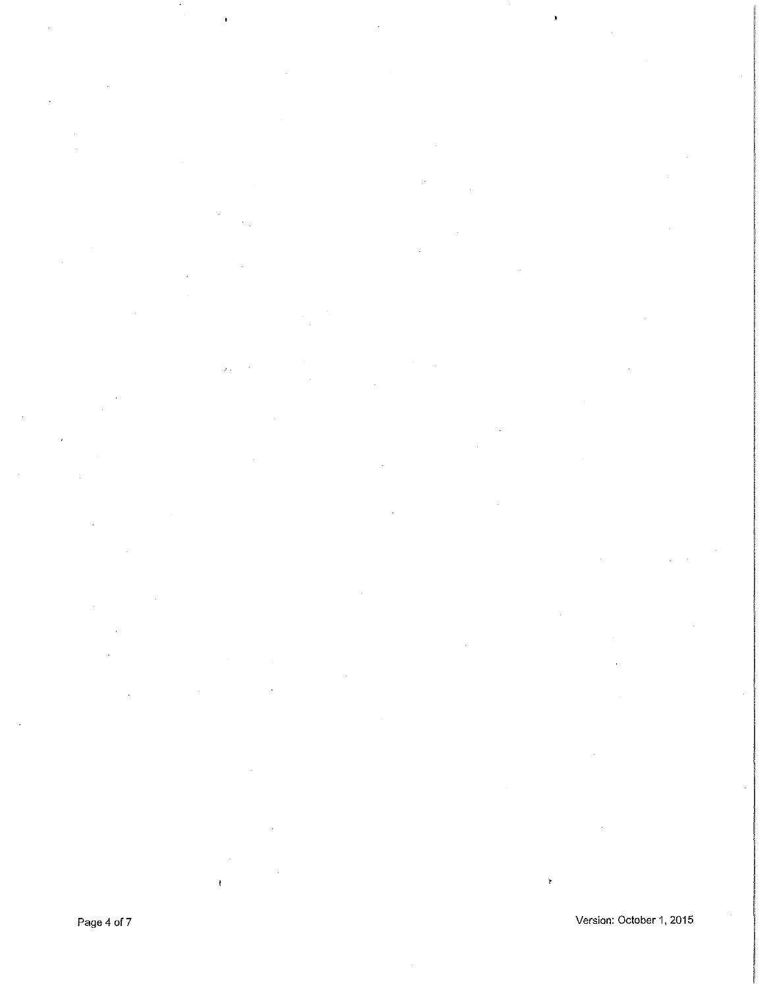Ŷ.

¥

J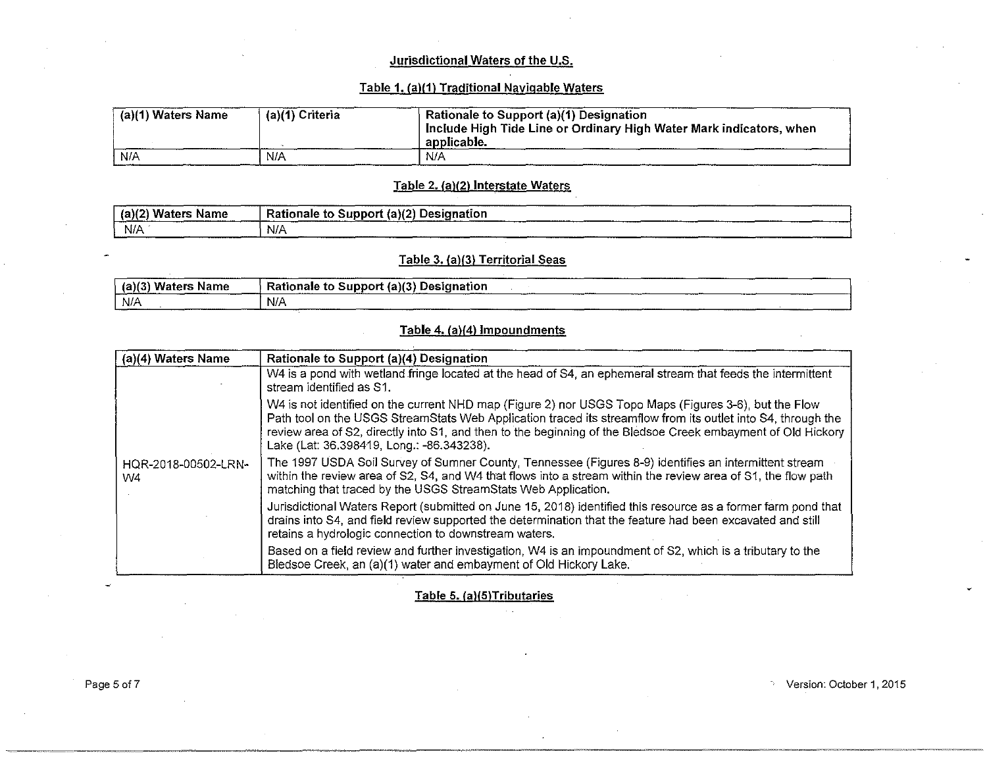## Jurisdictional Waters of the U.S.

### Table 1. (a)(1) Traditional Navigable Waters

| (a)(1) Waters Name | (a)(1) Criteria | Rationale to Support (a)(1) Designation<br>Include High Tide Line or Ordinary High Water Mark indicators, when<br>applicable. |
|--------------------|-----------------|-------------------------------------------------------------------------------------------------------------------------------|
| N/A<br>.           | N/A             | N/A                                                                                                                           |

## Table 2. (a)(2) Interstate Waters

| (a)(2) Waters Name | Rationale to Support (a)(2) Designation |
|--------------------|-----------------------------------------|
| N.A                | N/A                                     |

## Table 3. (a)(3) Territorial Seas

| (a)(3) Waters Name | Rationale to Support (a)(3) Designation |
|--------------------|-----------------------------------------|
| N/F                | N/A                                     |

### Table 4. (a)(4) Impoundments

 $\ddot{\phantom{a}}$ 

| (a)(4) Waters Name        | Rationale to Support (a)(4) Designation                                                                                                                                                                                                                                                                                                                                            |
|---------------------------|------------------------------------------------------------------------------------------------------------------------------------------------------------------------------------------------------------------------------------------------------------------------------------------------------------------------------------------------------------------------------------|
|                           | W4 is a pond with wetland fringe located at the head of S4, an ephemeral stream that feeds the intermittent<br>stream identified as S1.                                                                                                                                                                                                                                            |
|                           | W4 is not identified on the current NHD map (Figure 2) nor USGS Topo Maps (Figures 3-6), but the Flow<br>Path tool on the USGS StreamStats Web Application traced its streamflow from its outlet into S4, through the<br>review area of S2, directly into S1, and then to the beginning of the Bledsoe Creek embayment of Old Hickory<br>Lake (Lat: 36.398419, Long.: -86.343238). |
| HQR-2018-00502-LRN-<br>W4 | The 1997 USDA Soil Survey of Sumner County, Tennessee (Figures 8-9) identifies an intermittent stream<br>within the review area of S2, S4, and W4 that flows into a stream within the review area of S1, the flow path<br>matching that traced by the USGS StreamStats Web Application.                                                                                            |
|                           | Jurisdictional Waters Report (submitted on June 15, 2018) identified this resource as a former farm pond that<br>drains into S4, and field review supported the determination that the feature had been excavated and still<br>retains a hydrologic connection to downstream waters.                                                                                               |
|                           | Based on a field review and further investigation, W4 is an impoundment of S2, which is a tributary to the<br>Bledsoe Creek, an (a)(1) water and embayment of Old Hickory Lake.                                                                                                                                                                                                    |

Table 5. (a)(S)Tributaries

-·-··-·---~-----···---- --------···--·-· ·--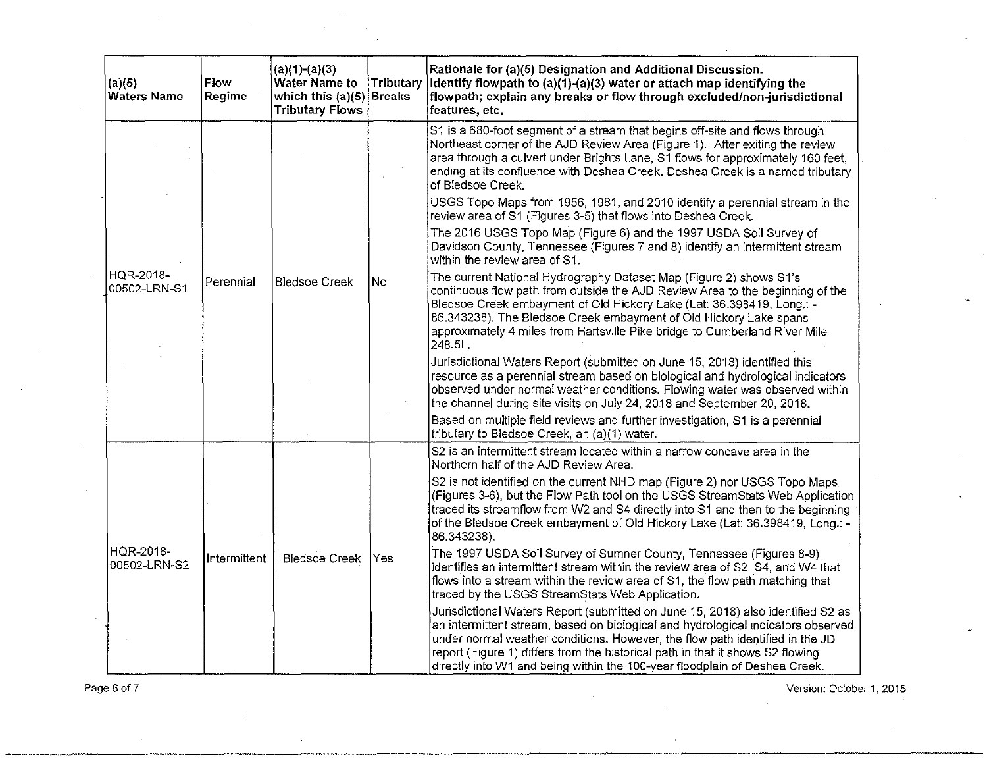| (a)(5)<br><b>Waters Name</b> | Flow<br>Regime | $(a)(1)-(a)(3)$<br><b>Water Name to</b><br>which this $(a)(5)$<br><b>Tributary Flows</b> | Tributary<br><b>Breaks</b> | Rationale for (a)(5) Designation and Additional Discussion.<br>Identify flowpath to (a)(1)-(a)(3) water or attach map identifying the<br>flowpath; explain any breaks or flow through excluded/non-jurisdictional<br>features, etc.                                                                                                                                                                                 |
|------------------------------|----------------|------------------------------------------------------------------------------------------|----------------------------|---------------------------------------------------------------------------------------------------------------------------------------------------------------------------------------------------------------------------------------------------------------------------------------------------------------------------------------------------------------------------------------------------------------------|
|                              |                |                                                                                          |                            | S1 is a 680-foot segment of a stream that begins off-site and flows through<br>Northeast corner of the AJD Review Area (Figure 1). After exiting the review<br>area through a culvert under Brights Lane, S1 flows for approximately 160 feet,<br>ending at its confluence with Deshea Creek. Deshea Creek is a named tributary<br>of Bledsoe Creek.                                                                |
|                              |                |                                                                                          |                            | USGS Topo Maps from 1956, 1981, and 2010 identify a perennial stream in the<br>review area of S1 (Figures 3-5) that flows into Deshea Creek.                                                                                                                                                                                                                                                                        |
|                              |                |                                                                                          |                            | The 2016 USGS Topo Map (Figure 6) and the 1997 USDA Soil Survey of<br>Davidson County, Tennessee (Figures 7 and 8) identify an intermittent stream<br>within the review area of S1.                                                                                                                                                                                                                                 |
| HQR-2018-<br>00502-LRN-S1    | Perennial      | <b>Bledsoe Creek</b>                                                                     | No.                        | The current National Hydrography Dataset Map (Figure 2) shows S1's<br>continuous flow path from outside the AJD Review Area to the beginning of the<br>Bledsoe Creek embayment of Old Hickory Lake (Lat. 36.398419, Long. -<br>86.343238). The Bledsoe Creek embayment of Old Hickory Lake spans<br>approximately 4 miles from Hartsville Pike bridge to Cumberland River Mile<br>248.5L.                           |
|                              |                |                                                                                          |                            | Jurisdictional Waters Report (submitted on June 15, 2018) identified this<br>resource as a perennial stream based on biological and hydrological indicators<br>observed under normal weather conditions. Flowing water was observed within<br>the channel during site visits on July 24, 2018 and September 20, 2018.                                                                                               |
|                              |                |                                                                                          |                            | Based on multiple field reviews and further investigation, S1 is a perennial<br>tributary to Bledsoe Creek, an (a)(1) water.                                                                                                                                                                                                                                                                                        |
|                              |                |                                                                                          |                            | S2 is an intermittent stream located within a narrow concave area in the<br>Northern half of the AJD Review Area.                                                                                                                                                                                                                                                                                                   |
| HQR-2018-<br>00502-LRN-S2    | Intermittent   | <b>Bledsoe Creek</b>                                                                     | Yes                        | S2 is not identified on the current NHD map (Figure 2) nor USGS Topo Maps.<br>(Figures 3-6), but the Flow Path tool on the USGS StreamStats Web Application<br>traced its streamflow from W2 and S4 directly into S1 and then to the beginning<br>of the Bledsoe Creek embayment of Old Hickory Lake (Lat. 36.398419, Long.: -<br>86.343238).                                                                       |
|                              |                |                                                                                          |                            | The 1997 USDA Soil Survey of Sumner County, Tennessee (Figures 8-9)<br>identifies an intermittent stream within the review area of S2, S4, and W4 that<br>flows into a stream within the review area of S1, the flow path matching that<br>traced by the USGS StreamStats Web Application.                                                                                                                          |
|                              |                |                                                                                          |                            | Jurisdictional Waters Report (submitted on June 15, 2018) also identified S2 as<br>an intermittent stream, based on biological and hydrological indicators observed<br>under normal weather conditions. However, the flow path identified in the JD<br>report (Figure 1) differs from the historical path in that it shows S2 flowing<br>directly into W1 and being within the 100-year floodplain of Deshea Creek. |

Page 6 of7 **Version: October 1, 2015**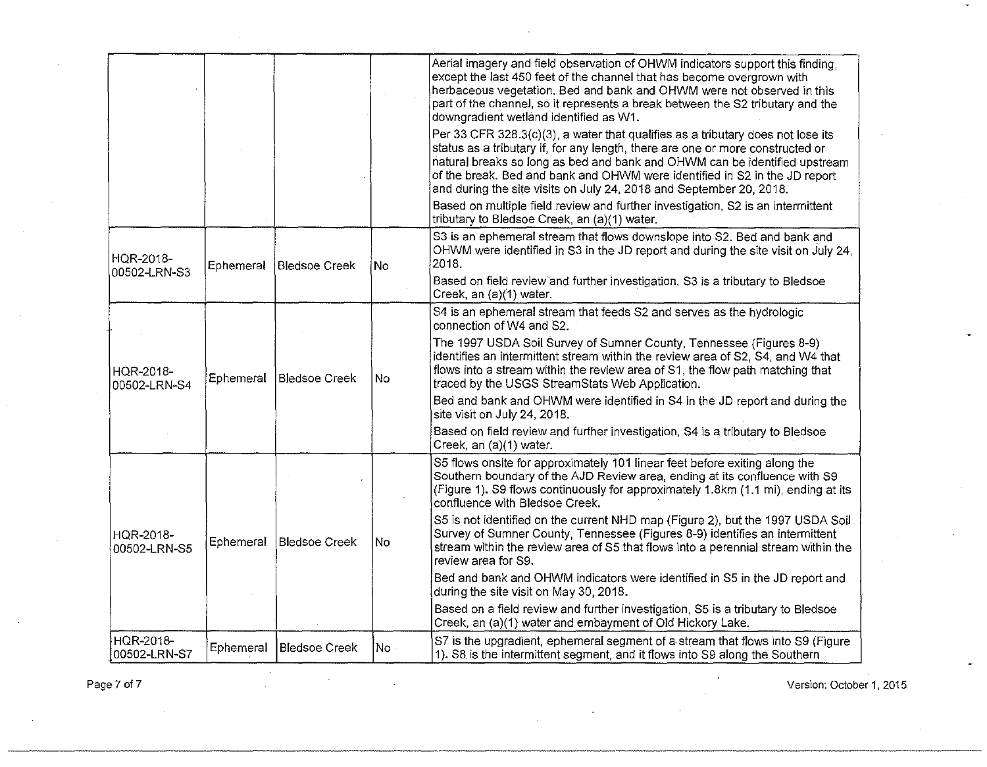|                           |           |                       |      | Aerial imagery and field observation of OHWM indicators support this finding,<br>except the last 450 feet of the channel that has become overgrown with<br>herbaceous vegetation, Bed and bank and OHWM were not observed in this<br>part of the channel, so it represents a break between the S2 tributary and the<br>downgradient wetland identified as W1.                                        |
|---------------------------|-----------|-----------------------|------|------------------------------------------------------------------------------------------------------------------------------------------------------------------------------------------------------------------------------------------------------------------------------------------------------------------------------------------------------------------------------------------------------|
|                           |           |                       |      | Per 33 CFR 328.3(c)(3), a water that qualifies as a tributary does not lose its<br>status as a tributary if, for any length, there are one or more constructed or<br>natural breaks so long as bed and bank and OHWM can be identified upstream<br>of the break. Bed and bank and OHWM were identified in S2 in the JD report<br>and during the site visits on July 24, 2018 and September 20, 2018. |
|                           |           |                       |      | Based on multiple field review and further investigation, S2 is an intermittent<br>tributary to Bledsoe Creek, an (a)(1) water.                                                                                                                                                                                                                                                                      |
| HQR-2018-                 | Ephemeral | <b>Bledsoe Creek</b>  | No   | S3 is an ephemeral stream that flows downslope into S2. Bed and bank and<br>OHWM were identified in S3 in the JD report and during the site visit on July 24,<br>2018.                                                                                                                                                                                                                               |
| 00502-LRN-S3              |           |                       |      | Based on field review and further investigation, S3 is a tributary to Bledsoe<br>Creek, an (a)(1) water.                                                                                                                                                                                                                                                                                             |
|                           |           |                       |      | S4 is an ephemeral stream that feeds S2 and serves as the hydrologic<br>connection of W4 and S2.                                                                                                                                                                                                                                                                                                     |
| HQR-2018-<br>00502-LRN-S4 | Ephemeral | Bledsoe Creek         | No   | The 1997 USDA Soil Survey of Sumner County, Tennessee (Figures 8-9)<br>identifies an intermittent stream within the review area of S2, S4, and W4 that<br>flows into a stream within the review area of S1, the flow path matching that<br>traced by the USGS StreamStats Web Application.                                                                                                           |
|                           |           |                       |      | Bed and bank and OHWM were identified in S4 in the JD report and during the<br>site visit on July 24, 2018.                                                                                                                                                                                                                                                                                          |
|                           |           |                       |      | Based on field review and further investigation, S4 is a tributary to Bledsoe<br>Creek, an (a)(1) water.                                                                                                                                                                                                                                                                                             |
|                           |           |                       |      | S5 flows onsite for approximately 101 linear feet before exiting along the<br>Southern boundary of the AJD Review area, ending at its confluence with S9<br>(Figure 1). S9 flows continuously for approximately 1.8km (1.1 mi), ending at its<br>confluence with Bledsoe Creek.                                                                                                                      |
| HQR-2018-<br>00502-LRN-S5 | Ephemeral | <b>Bledsoe Creek</b>  | No   | S5 is not identified on the current NHD map (Figure 2), but the 1997 USDA Soil<br>Survey of Sumner County, Tennessee (Figures 8-9) identifies an intermittent<br>stream within the review area of S5 that flows into a perennial stream within the<br>review area for S9.                                                                                                                            |
|                           |           |                       |      | Bed and bank and OHWM indicators were identified in S5 in the JD report and<br>during the site visit on May 30, 2018.                                                                                                                                                                                                                                                                                |
|                           |           |                       |      | Based on a field review and further investigation, S5 is a tributary to Bledsoe<br>Creek, an (a)(1) water and embayment of Old Hickory Lake.                                                                                                                                                                                                                                                         |
| HQR-2018-<br>00502-LRN-S7 | Ephemeral | <b>IBledsoe Creek</b> | No - | S7 is the upgradient, ephemeral segment of a stream that flows into S9 (Figure<br>1). S8 is the intermittent segment, and it flows into S9 along the Southern                                                                                                                                                                                                                                        |

Page 7 of 7 Version: October 1, 2015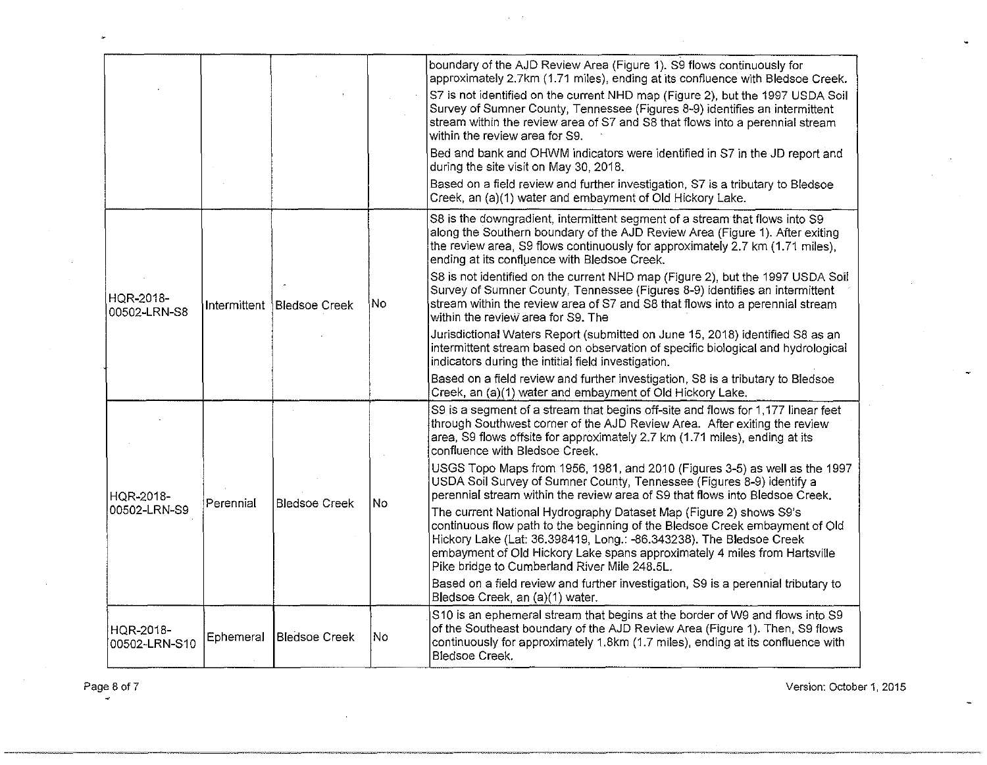|                            |           |                            |      | boundary of the AJD Review Area (Figure 1). S9 flows continuously for<br>approximately 2.7km (1.71 miles), ending at its confluence with Bledsoe Creek.<br>S7 is not identified on the current NHD map (Figure 2), but the 1997 USDA Soil<br>Survey of Sumner County, Tennessee (Figures 8-9) identifies an intermittent<br>stream within the review area of S7 and S8 that flows into a perennial stream<br>within the review area for S9.<br>Bed and bank and OHWM indicators were identified in S7 in the JD report and<br>during the site visit on May 30, 2018.<br>Based on a field review and further investigation, S7 is a tributary to Bledsoe<br>Creek, an (a)(1) water and embayment of Old Hickory Lake.                                                                                                                                                                                                                                                                                   |
|----------------------------|-----------|----------------------------|------|--------------------------------------------------------------------------------------------------------------------------------------------------------------------------------------------------------------------------------------------------------------------------------------------------------------------------------------------------------------------------------------------------------------------------------------------------------------------------------------------------------------------------------------------------------------------------------------------------------------------------------------------------------------------------------------------------------------------------------------------------------------------------------------------------------------------------------------------------------------------------------------------------------------------------------------------------------------------------------------------------------|
| HQR-2018-<br>00502-LRN-S8  |           | Intermittent Bledsoe Creek | iNo. | S8 is the downgradient, intermittent segment of a stream that flows into S9<br>along the Southern boundary of the AJD Review Area (Figure 1). After exiting<br>the review area, S9 flows continuously for approximately 2.7 km (1.71 miles),<br>ending at its confluence with Bledsoe Creek.<br>S8 is not identified on the current NHD map (Figure 2), but the 1997 USDA Soil<br>Survey of Sumner County, Tennessee (Figures 8-9) identifies an intermittent<br>stream within the review area of S7 and S8 that flows into a perennial stream<br>within the review area for S9. The<br>Jurisdictional Waters Report (submitted on June 15, 2018) identified S8 as an<br>intermittent stream based on observation of specific biological and hydrological<br>indicators during the intitial field investigation.<br>Based on a field review and further investigation, S8 is a tributary to Bledsoe<br>Creek, an (a)(1) water and embayment of Old Hickory Lake.                                       |
| HQR-2018-<br>00502-LRN-S9  | Perennial | <b>Bledsoe Creek</b>       | No.  | S9 is a segment of a stream that begins off-site and flows for 1,177 linear feet<br>through Southwest corner of the AJD Review Area. After exiting the review<br>area, S9 flows offsite for approximately 2.7 km (1.71 miles), ending at its<br>confluence with Bledsoe Creek.<br>USGS Topo Maps from 1956, 1981, and 2010 (Figures 3-5) as well as the 1997<br>USDA Soil Survey of Sumner County, Tennessee (Figures 8-9) identify a<br>perennial stream within the review area of S9 that flows into Bledsoe Creek.<br>The current National Hydrography Dataset Map (Figure 2) shows S9's<br>continuous flow path to the beginning of the Bledsoe Creek embayment of Old<br>Hickory Lake (Lat: 36.398419, Long.: -86.343238). The Bledsoe Creek<br>embayment of Old Hickory Lake spans approximately 4 miles from Hartsville<br>Pike bridge to Cumberland River Mile 248.5L.<br>Based on a field review and further investigation, S9 is a perennial tributary to<br>Bledsoe Creek, an (a)(1) water. |
| HQR-2018-<br>00502-LRN-S10 | Ephemeral | Bledsoe Creek              | N٥   | S10 is an ephemeral stream that begins at the border of W9 and flows into S9<br>of the Southeast boundary of the AJD Review Area (Figure 1). Then, S9 flows<br>continuously for approximately 1.8km (1.7 miles), ending at its confluence with<br>Bledsoe Creek.                                                                                                                                                                                                                                                                                                                                                                                                                                                                                                                                                                                                                                                                                                                                       |

Page 8 of7 Version: October 1, 2015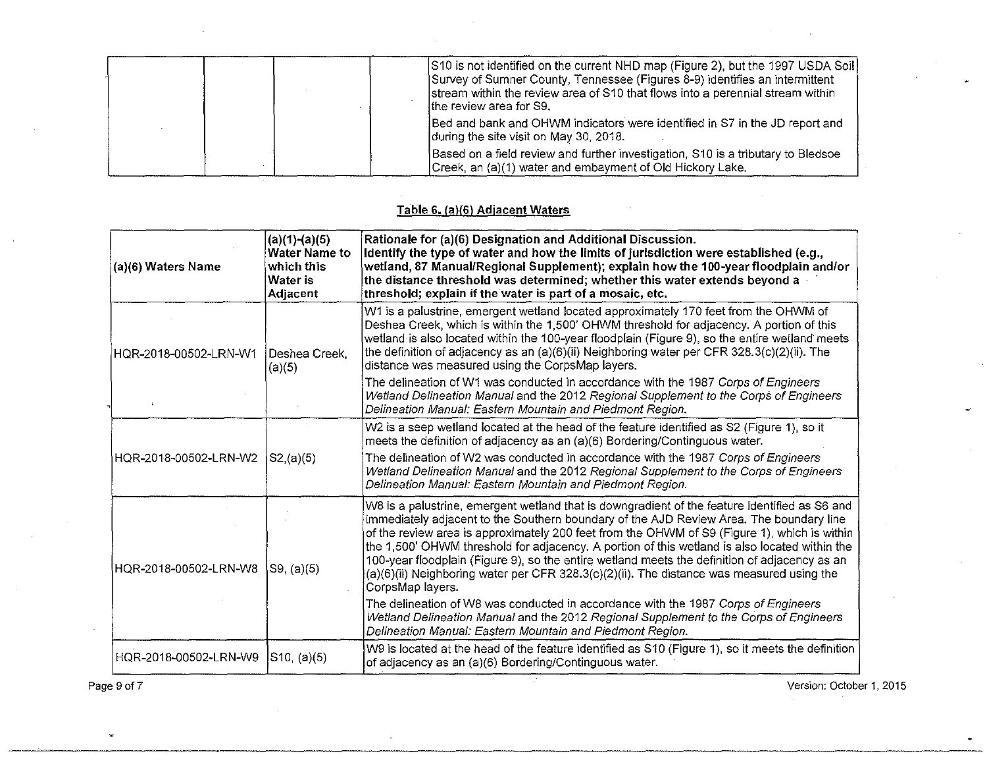|  | S10 is not identified on the current NHD map (Figure 2), but the 1997 USDA Soil<br>Survey of Sumner County, Tennessee (Figures 8-9) identifies an intermittent<br>stream within the review area of S10 that flows into a perennial stream within<br>the review area for S9. |
|--|-----------------------------------------------------------------------------------------------------------------------------------------------------------------------------------------------------------------------------------------------------------------------------|
|  | Bed and bank and OHWM indicators were identified in S7 in the JD report and<br>during the site visit on May 30, 2018.                                                                                                                                                       |
|  | Based on a field review and further investigation, S10 is a tributary to Bledsoe<br>Creek, an (a)(1) water and embayment of Old Hickory Lake.                                                                                                                               |

## **Table 6. (a)(6) Adjacent Waters**

| (a)(6) Waters Name    | $(a)(1)-(a)(5)$<br><b>Water Name to</b><br>which this<br><b>Water is</b><br>Adjacent | Rationale for (a)(6) Designation and Additional Discussion.<br>Identify the type of water and how the limits of jurisdiction were established (e.g.,<br>wetland, 87 Manual/Regional Supplement); explain how the 100-year floodplain and/or<br>the distance threshold was determined; whether this water extends beyond a $\cdot$<br>threshold; explain if the water is part of a mosaic, etc.                                                                                                                                                                                                                 |
|-----------------------|--------------------------------------------------------------------------------------|----------------------------------------------------------------------------------------------------------------------------------------------------------------------------------------------------------------------------------------------------------------------------------------------------------------------------------------------------------------------------------------------------------------------------------------------------------------------------------------------------------------------------------------------------------------------------------------------------------------|
| HQR-2018-00502-LRN-W1 | Deshea Creek.<br>(a)(5)                                                              | W1 is a palustrine, emergent wetland located approximately 170 feet from the OHWM of<br>Deshea Creek, which is within the 1,500' OHWM threshold for adjacency. A portion of this<br>wetland is also located within the 100-year floodplain (Figure 9), so the entire wetland meets<br>the definition of adjacency as an (a)(6)(ii) Neighboring water per CFR 328.3(c)(2)(ii). The<br>distance was measured using the CorpsMap layers.                                                                                                                                                                          |
|                       |                                                                                      | The delineation of W1 was conducted in accordance with the 1987 Corps of Engineers<br>Wetland Delineation Manual and the 2012 Regional Supplement to the Corps of Engineers<br>Delineation Manual: Eastern Mountain and Piedmont Region.                                                                                                                                                                                                                                                                                                                                                                       |
|                       |                                                                                      | W2 is a seep wetland located at the head of the feature identified as S2 (Figure 1), so it<br>meets the definition of adjacency as an (a)(6) Bordering/Continguous water.                                                                                                                                                                                                                                                                                                                                                                                                                                      |
| HQR-2018-00502-LRN-W2 | S2,(a)(5)                                                                            | The delineation of W2 was conducted in accordance with the 1987 Corps of Engineers<br>Wetland Delineation Manual and the 2012 Regional Supplement to the Corps of Engineers<br>Delineation Manual: Eastern Mountain and Piedmont Region.                                                                                                                                                                                                                                                                                                                                                                       |
| HQR-2018-00502-LRN-W8 | S9, (a)(5)                                                                           | W8 is a palustrine, emergent wetland that is downgradient of the feature identified as S6 and<br>immediately adjacent to the Southern boundary of the AJD Review Area. The boundary line<br>of the review area is approximately 200 feet from the OHWM of S9 (Figure 1), which is within<br>the 1,500' OHWM threshold for adjacency. A portion of this wetland is also located within the<br>100-year floodplain (Figure 9), so the entire wetland meets the definition of adjacency as an<br>(a)(6)(ii) Neighboring water per CFR $328.3(c)(2)$ (ii). The distance was measured using the<br>CorpsMap layers. |
|                       |                                                                                      | The delineation of W8 was conducted in accordance with the 1987 Corps of Engineers<br>Wetland Delineation Manual and the 2012 Regional Supplement to the Corps of Engineers<br>Delineation Manual: Eastern Mountain and Piedmont Region.                                                                                                                                                                                                                                                                                                                                                                       |
| HQR-2018-00502-LRN-W9 | S10, (a)(5)                                                                          | W9 is located at the head of the feature identified as S10 (Figure 1), so it meets the definition<br>of adjacency as an (a)(6) Bordering/Continguous water.                                                                                                                                                                                                                                                                                                                                                                                                                                                    |

 $\blacksquare$ 

·--~~~~--~~-~-~-~-~--~~~--~---~------

Page 9 of 7 Version: October 1, 2015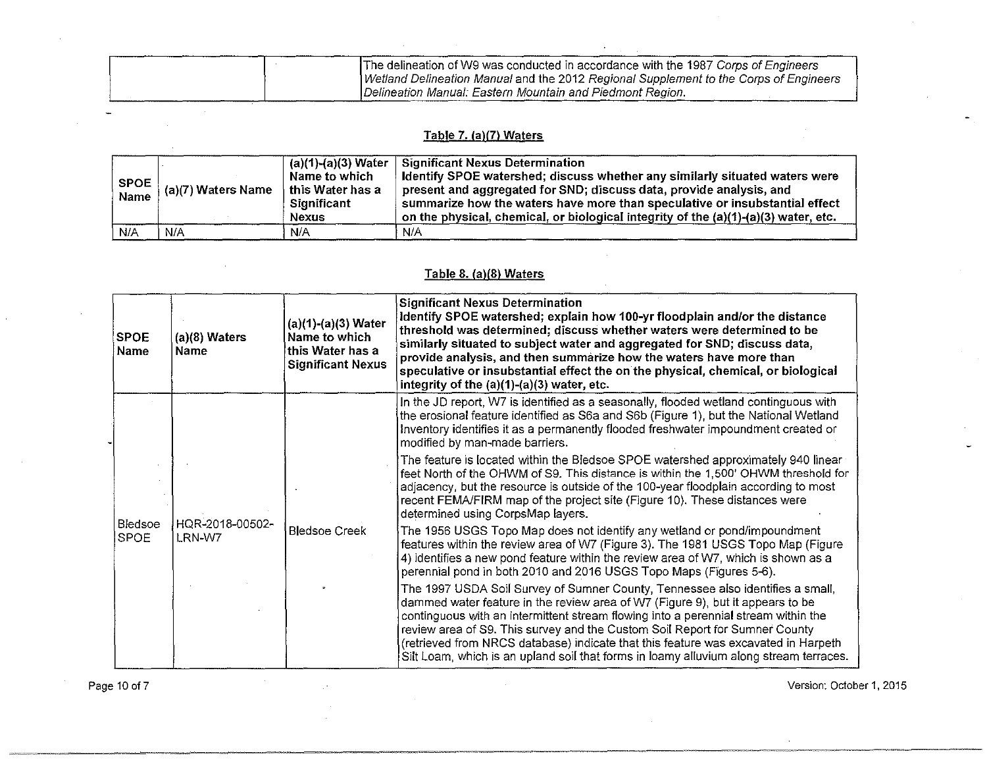|  | The delineation of W9 was conducted in accordance with the 1987 Corps of Engineers    |
|--|---------------------------------------------------------------------------------------|
|  | Wetland Delineation Manual and the 2012 Regional Supplement to the Corps of Engineers |
|  | Delineation Manual: Eastern Mountain and Piedmont Region.                             |

## Table 7. (a)(7) Waters

| <b>SPOE</b><br>Name | (a)(7) Waters Name | $'(a)(1)-(a)(3)$ Water<br>Name to which<br>this Water has a<br>Significant<br><b>Nexus</b> | <b>Significant Nexus Determination</b><br>Identify SPOE watershed; discuss whether any similarly situated waters were<br>present and aggregated for SND; discuss data, provide analysis, and<br>summarize how the waters have more than speculative or insubstantial effect<br>on the physical, chemical, or biological integrity of the (a)(1)-(a)(3) water, etc. |
|---------------------|--------------------|--------------------------------------------------------------------------------------------|--------------------------------------------------------------------------------------------------------------------------------------------------------------------------------------------------------------------------------------------------------------------------------------------------------------------------------------------------------------------|
| N/A                 | N/A                | N/A                                                                                        | N/A                                                                                                                                                                                                                                                                                                                                                                |

## Table 8. (a)(S) Waters

| <b>SPOE</b><br>Name | $(a)(8)$ Waters<br>Name              | $(a)(1)-(a)(3)$ Water<br>Name to which<br>this Water has a<br><b>Significant Nexus</b> | <b>Significant Nexus Determination</b><br>Identify SPOE watershed; explain how 100-yr floodplain and/or the distance<br>threshold was determined; discuss whether waters were determined to be<br>similarly situated to subject water and aggregated for SND; discuss data,<br>provide analysis, and then summarize how the waters have more than<br>speculative or insubstantial effect the on the physical, chemical, or biological<br>integrity of the $(a)(1)-(a)(3)$ water, etc.                                 |
|---------------------|--------------------------------------|----------------------------------------------------------------------------------------|-----------------------------------------------------------------------------------------------------------------------------------------------------------------------------------------------------------------------------------------------------------------------------------------------------------------------------------------------------------------------------------------------------------------------------------------------------------------------------------------------------------------------|
|                     |                                      |                                                                                        | In the JD report, W7 is identified as a seasonally, flooded wetland continguous with<br>the erosional feature identified as S6a and S6b (Figure 1), but the National Wetland<br>Inventory identifies it as a permanently flooded freshwater impoundment created or<br>modified by man-made barriers.                                                                                                                                                                                                                  |
|                     | Bledsoe<br>HQR-2018-00502-<br>LRN-W7 | <b>Bledsoe Creek</b>                                                                   | The feature is located within the Bledsoe SPOE watershed approximately 940 linear<br>feet North of the OHWM of S9. This distance is within the 1,500' OHWM threshold for<br>adjacency, but the resource is outside of the 100-year floodplain according to most<br>recent FEMA/FIRM map of the project site (Figure 10). These distances were<br>determined using CorpsMap layers.                                                                                                                                    |
| <b>SPOE</b>         |                                      |                                                                                        | The 1956 USGS Topo Map does not identify any wetland or pond/impoundment<br>features within the review area of W7 (Figure 3). The 1981 USGS Topo Map (Figure<br>4) identifies a new pond feature within the review area of W7, which is shown as a<br>perennial pond in both 2010 and 2016 USGS Topo Maps (Figures 5-6).                                                                                                                                                                                              |
|                     |                                      |                                                                                        | The 1997 USDA Soil Survey of Sumner County, Tennessee also identifies a small,<br>dammed water feature in the review area of W7 (Figure 9), but it appears to be<br>continguous with an intermittent stream flowing into a perennial stream within the<br>review area of S9. This survey and the Custom Soil Report for Sumner County<br>(retrieved from NRCS database) indicate that this feature was excavated in Harpeth<br>Silt Loam, which is an upland soil that forms in loamy alluvium along stream terraces. |

Page 10 of 7 Version: October 1, 2015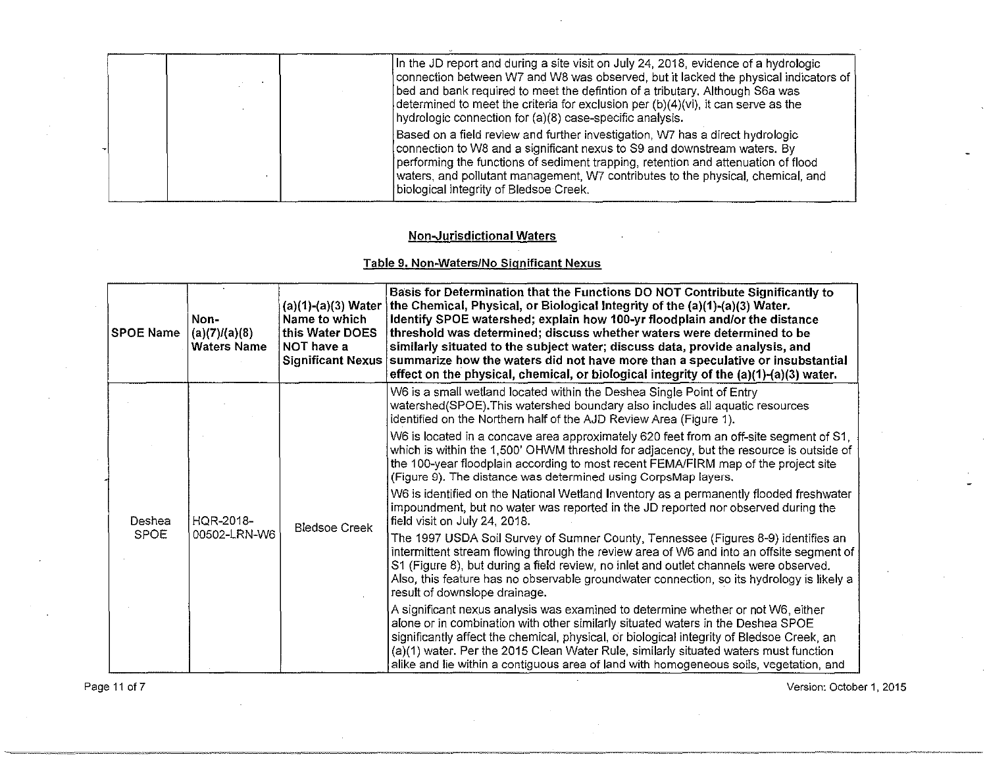|  |  | In the JD report and during a site visit on July 24, 2018, evidence of a hydrologic<br>connection between W7 and W8 was observed, but it lacked the physical indicators of<br>bed and bank required to meet the defintion of a tributary. Although S6a was<br>determined to meet the criteria for exclusion per (b)(4)(vi), it can serve as the<br>hydrologic connection for (a)(8) case-specific analysis. |
|--|--|-------------------------------------------------------------------------------------------------------------------------------------------------------------------------------------------------------------------------------------------------------------------------------------------------------------------------------------------------------------------------------------------------------------|
|  |  | Based on a field review and further investigation, W7 has a direct hydrologic<br>connection to W8 and a significant nexus to S9 and downstream waters. By<br>performing the functions of sediment trapping, retention and attenuation of flood<br>waters, and pollutant management, W7 contributes to the physical, chemical, and<br>biological integrity of Bledsoe Creek.                                 |

# Non-Jurisdictional Waters

## Table 9. Non-Waters/No Significant Nexus

| <b>SPOE Name</b> | Non-<br>$(a)(7)$ /(a) $(8)$<br><b>Waters Name</b> | (a)(1)-(a)(3) Water<br>Name to which<br>this Water DOES<br>NOT have a | Basis for Determination that the Functions DO NOT Contribute Significantly to<br>the Chemical, Physical, or Biological Integrity of the (a)(1)-(a)(3) Water.<br>Identify SPOE watershed; explain how 100-yr floodplain and/or the distance<br>threshold was determined; discuss whether waters were determined to be<br>similarly situated to the subject water; discuss data, provide analysis, and<br>Significant Nexus summarize how the waters did not have more than a speculative or insubstantial<br>effect on the physical, chemical, or biological integrity of the (a)(1)-(a)(3) water. |
|------------------|---------------------------------------------------|-----------------------------------------------------------------------|---------------------------------------------------------------------------------------------------------------------------------------------------------------------------------------------------------------------------------------------------------------------------------------------------------------------------------------------------------------------------------------------------------------------------------------------------------------------------------------------------------------------------------------------------------------------------------------------------|
|                  |                                                   |                                                                       | W6 is a small wetland located within the Deshea Single Point of Entry<br>watershed(SPOE). This watershed boundary also includes all aquatic resources<br>identified on the Northern half of the AJD Review Area (Figure 1).                                                                                                                                                                                                                                                                                                                                                                       |
|                  |                                                   |                                                                       | W6 is located in a concave area approximately 620 feet from an off-site segment of S1,<br>which is within the 1,500' OHWM threshold for adjacency, but the resource is outside of<br>the 100-year floodplain according to most recent FEMA/FIRM map of the project site<br>(Figure 9). The distance was determined using CorpsMap layers.                                                                                                                                                                                                                                                         |
| Deshea           | HQR-2018-                                         | <b>Bledsoe Creek</b>                                                  | W6 is identified on the National Wetland Inventory as a permanently flooded freshwater<br>impoundment, but no water was reported in the JD reported nor observed during the<br>field visit on July 24, 2018.                                                                                                                                                                                                                                                                                                                                                                                      |
| <b>SPOE</b>      | 00502-LRN-W6                                      |                                                                       | The 1997 USDA Soil Survey of Sumner County, Tennessee (Figures 8-9) identifies an<br>intermittent stream flowing through the review area of W6 and into an offsite segment of<br>S1 (Figure 8), but during a field review, no inlet and outlet channels were observed.<br>Also, this feature has no observable groundwater connection, so its hydrology is likely a<br>result of downslope drainage.                                                                                                                                                                                              |
|                  |                                                   |                                                                       | A significant nexus analysis was examined to determine whether or not W6, either<br>alone or in combination with other similarly situated waters in the Deshea SPOE<br>significantly affect the chemical, physical, or biological integrity of Bledsoe Creek, an<br>(a)(1) water. Per the 2015 Clean Water Rule, similarly situated waters must function<br>alike and lie within a contiguous area of land with homogeneous soils, vegetation, and                                                                                                                                                |

Page 11 of 7 Version: October 1, 2015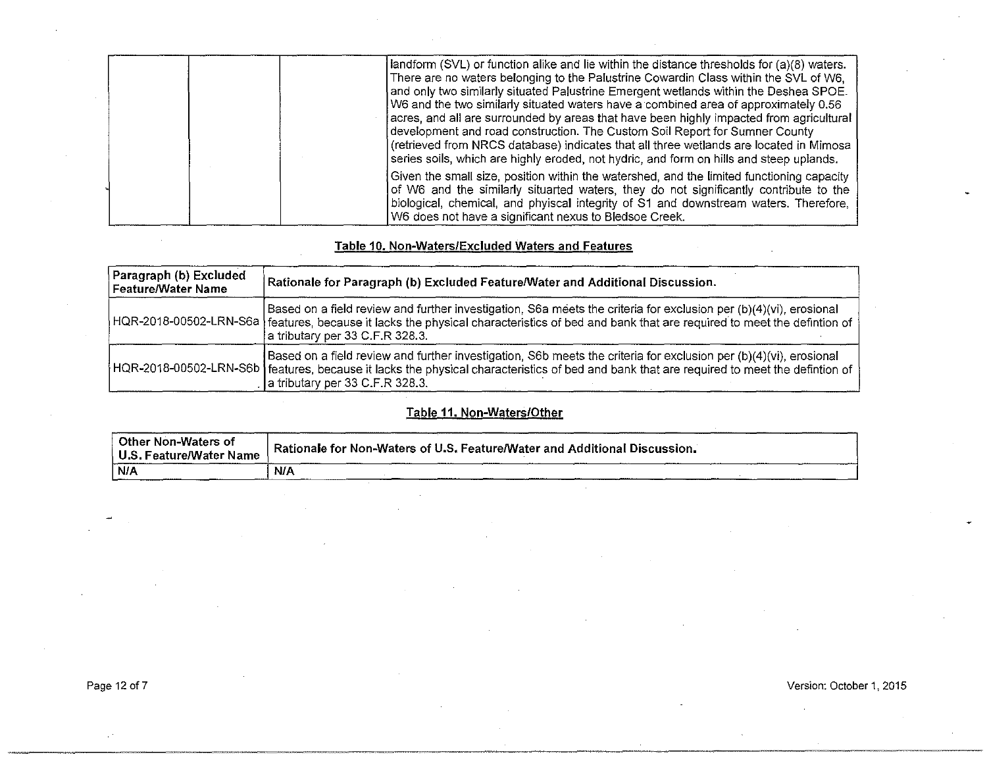| landform (SVL) or function alike and lie within the distance thresholds for (a)(8) waters.<br>There are no waters belonging to the Palustrine Cowardin Class within the SVL of W6.<br>and only two similarly situated Palustrine Emergent wetlands within the Deshea SPOE.<br>W6 and the two similarly situated waters have a combined area of approximately 0.56<br>acres, and all are surrounded by areas that have been highly impacted from agricultural<br>development and road construction. The Custom Soil Report for Sumner County<br>(retrieved from NRCS database) indicates that all three wetlands are located in Mimosa<br>series soils, which are highly eroded, not hydric, and form on hills and steep uplands. |
|----------------------------------------------------------------------------------------------------------------------------------------------------------------------------------------------------------------------------------------------------------------------------------------------------------------------------------------------------------------------------------------------------------------------------------------------------------------------------------------------------------------------------------------------------------------------------------------------------------------------------------------------------------------------------------------------------------------------------------|
| Given the small size, position within the watershed, and the limited functioning capacity<br>of W6 and the similarly situarted waters, they do not significantly contribute to the<br>biological, chemical, and phyiscal integrity of S1 and downstream waters. Therefore,<br>W6 does not have a significant nexus to Bledsoe Creek.                                                                                                                                                                                                                                                                                                                                                                                             |

### **Table 10. Non-Waters/Excluded Waters and Features**

| Paragraph (b) Excluded<br>Feature/Water Name | Rationale for Paragraph (b) Excluded Feature/Water and Additional Discussion.                                                                                                                                                                                                                         |  |  |  |  |  |  |
|----------------------------------------------|-------------------------------------------------------------------------------------------------------------------------------------------------------------------------------------------------------------------------------------------------------------------------------------------------------|--|--|--|--|--|--|
|                                              | Based on a field review and further investigation, S6a meets the criteria for exclusion per (b)(4)(vi), erosional<br>HQR-2018-00502-LRN-S6a   features, because it lacks the physical characteristics of bed and bank that are required to meet the defintion of<br>a tributary per 33 C.F.R 328.3.   |  |  |  |  |  |  |
|                                              | Based on a field review and further investigation, S6b meets the criteria for exclusion per (b)(4)(vi), erosional<br>HQR-2018-00502-LRN-S6b   features, because it lacks the physical characteristics of bed and bank that are required to meet the defintion of  <br>a tributary per 33 C.F.R 328.3. |  |  |  |  |  |  |

### **Table 11. Non-Waters/Other**

| <b>Other Non-Waters of</b> | Rationale for Non-Waters of U.S. Feature/Water and Additional Discussion. |
|----------------------------|---------------------------------------------------------------------------|
| N/A                        | N١A                                                                       |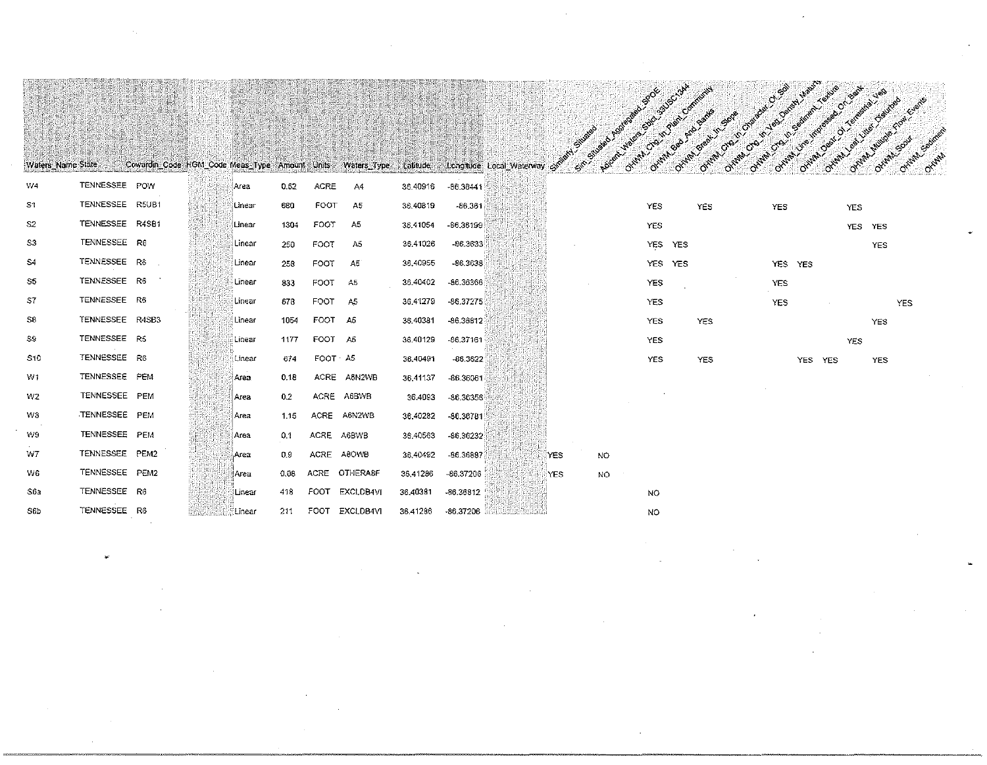|                   |                 |  |        |      |             |                                                           |                 |                                                                                                                       |      |                               |                 |                                               | ్యం                                                             |                     |                  |                                    |                |
|-------------------|-----------------|--|--------|------|-------------|-----------------------------------------------------------|-----------------|-----------------------------------------------------------------------------------------------------------------------|------|-------------------------------|-----------------|-----------------------------------------------|-----------------------------------------------------------------|---------------------|------------------|------------------------------------|----------------|
|                   |                 |  |        |      |             |                                                           |                 |                                                                                                                       |      | single representation of con- | Balgascoak      | Octave of or of or other and                  | c٧                                                              | <b>POLY MADE</b>    |                  | ್ನಳು<br><b>C. Million Richards</b> |                |
|                   |                 |  |        |      |             |                                                           |                 |                                                                                                                       |      |                               |                 |                                               |                                                                 |                     |                  |                                    |                |
| Waters_Name State |                 |  |        |      |             | Cowardin_Code HGM_Code Meas_Type Amount Units Waters_Type | <b>Hatitude</b> | <b>Economical Cocal Waterway Section 2009 Cocal Cocal Cocal Cocal Cocal Cocal Cocal Cocal Cocal Cocal Cocal Cocal</b> |      |                               |                 | outrack of the season<br>October 1998 P. Song | oomed One Construction<br>ookim color selection<br>omaloocacles | Ontario descripción | Orman can live . | Ottality                           | Oxfant Seement |
|                   |                 |  |        |      |             |                                                           |                 |                                                                                                                       |      |                               |                 |                                               |                                                                 |                     |                  |                                    |                |
| W4                | TENNESSEE POW   |  | Area   | 0.62 | ACRE        | Α4                                                        | 36,40916        |                                                                                                                       |      |                               |                 |                                               |                                                                 |                     |                  |                                    |                |
| S1                | TENNESSEE R5UB1 |  | Linear | 680  | <b>FOOT</b> | A5                                                        | 36,40819        | $-36.361$                                                                                                             |      |                               | YES             | YES                                           | <b>YES</b>                                                      |                     | <b>YES</b>       |                                    |                |
| S2                | TENNESSEE R4SB1 |  | Linear | 1304 | FOOT        | A5                                                        | 36.41054        | -86.36199                                                                                                             |      |                               | <b>YES</b>      |                                               |                                                                 |                     | YES YES          |                                    |                |
| S <sup>2</sup>    | TENNESSEE R6    |  | Linear | 250  | <b>FOOT</b> | A5                                                        | 36,41026        | -86.3633                                                                                                              |      |                               | YES.            | <b>YES</b>                                    |                                                                 |                     |                  | <b>YES</b>                         |                |
| S4                | TENNESSEE R6    |  | Linear | 258  | <b>FOOT</b> | A5                                                        | 36,40955        | $-86.3638$                                                                                                            |      |                               | YES.            | YES                                           |                                                                 | YES YES             |                  |                                    |                |
| S5                | TENNESSEE R6    |  | Lînear | 833  | <b>FOOT</b> | A5                                                        | 36,40402        | -86.36366                                                                                                             |      |                               | <b>YES</b>      |                                               | YES.                                                            |                     |                  |                                    |                |
| S7                | TENNESSEE R6    |  | Linear | 678  | <b>FOOT</b> | A5                                                        | 36,41279        | -86.37275                                                                                                             |      |                               | <b>YES</b>      |                                               | <b>YES</b>                                                      |                     |                  | <b>YES</b>                         |                |
| S8                | TENNESSEE R4SB3 |  | Linear | 1054 | FOOT        | A5                                                        | 36,40381        | -86.36812                                                                                                             |      |                               | YES             | <b>YES</b>                                    |                                                                 |                     |                  | YES.                               |                |
| <b>S9</b>         | TENNESSEE R6    |  | Linear | 1177 | FOOT AS     |                                                           | 36.40129        | -86.37161                                                                                                             |      |                               | <b>YES</b>      |                                               |                                                                 |                     | <b>YES</b>       |                                    |                |
| S10               | TENNESSEE R6    |  | Linear | 674  | FOOT A5     |                                                           | 36,40491        | $-86.3622$                                                                                                            |      |                               | <b>YES</b>      | <b>YES</b>                                    |                                                                 | YES YES             |                  | <b>YES</b>                         |                |
| W1                | TENNESSEE PEM   |  | Area   | 0.18 |             | ACRE A6N2WB                                               | 36,41137        | -86.36061                                                                                                             |      |                               |                 |                                               |                                                                 |                     |                  |                                    |                |
| WZ                | TENNESSEE PEM   |  | Area   | 0.2  |             | ACRE A6BWB                                                | 36.4093         | -86.36356                                                                                                             |      |                               |                 |                                               |                                                                 |                     |                  |                                    |                |
| W3                | TENNESSEE PEM   |  | Area   | 1.15 | <b>ACRE</b> | A6N2WB                                                    | 36,40282        | -86.36781                                                                                                             |      |                               |                 |                                               |                                                                 |                     |                  |                                    |                |
| W9                | TENNESSEE PEM   |  | Area   | 0.1  | <b>ACRE</b> | A6BWB                                                     | 36,40563        | -86 36 232                                                                                                            |      |                               |                 |                                               |                                                                 |                     |                  |                                    |                |
| W7                | TENNESSEE PEM2  |  | Area   | 0.9  | ACRE        | A8OWB                                                     | 36,40492        | -86.36887                                                                                                             | YES  | <b>NO</b>                     |                 |                                               |                                                                 |                     |                  |                                    |                |
| W6                | TENNESSEE PEM2  |  | Area   | 0.03 |             | ACRE OTHERA8F                                             | 36,41286        | $-86.37206$                                                                                                           | YES. | NO.                           |                 |                                               |                                                                 |                     |                  |                                    |                |
| S6a               | TENNESSEE R6    |  | Linear | 418  | FOOT        | EXCLDB4VI                                                 | 36,40381        | -86.36812                                                                                                             |      |                               | NO <sub>1</sub> |                                               |                                                                 |                     |                  |                                    |                |
| S6b               | TENNESSEE R6    |  | Lînear | 211  | FOOT        | EXCLDB4VI                                                 | 36.41286        | $-86.37206$                                                                                                           |      |                               | <b>NO</b>       |                                               |                                                                 |                     |                  |                                    |                |